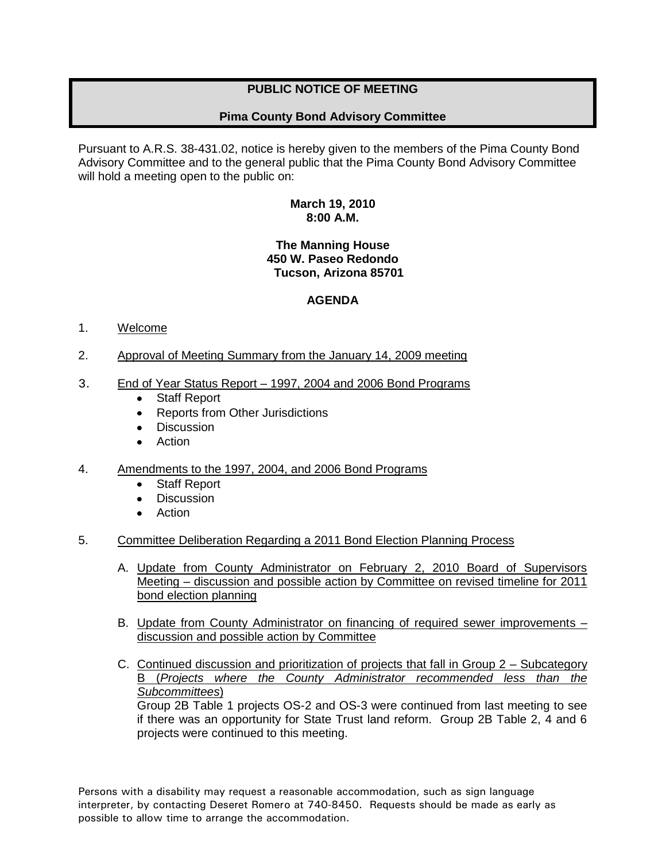# **PUBLIC NOTICE OF MEETING**

## **Pima County Bond Advisory Committee**

Pursuant to A.R.S. 38-431.02, notice is hereby given to the members of the Pima County Bond Advisory Committee and to the general public that the Pima County Bond Advisory Committee will hold a meeting open to the public on:

#### **March 19, 2010 8:00 A.M.**

## **The Manning House 450 W. Paseo Redondo Tucson, Arizona 85701**

## **AGENDA**

#### 1. Welcome

- 2. Approval of Meeting Summary from the January 14, 2009 meeting
- 3. End of Year Status Report 1997, 2004 and 2006 Bond Programs
	- Staff Report
	- $\bullet$ Reports from Other Jurisdictions
	- **Discussion**  $\bullet$
	- Action
- 4. Amendments to the 1997, 2004, and 2006 Bond Programs
	- $\bullet$ Staff Report
	- **Discussion**  $\bullet$
	- Action
- 5. Committee Deliberation Regarding a 2011 Bond Election Planning Process
	- A. Update from County Administrator on February 2, 2010 Board of Supervisors Meeting – discussion and possible action by Committee on revised timeline for 2011 bond election planning
	- B. Update from County Administrator on financing of required sewer improvements discussion and possible action by Committee
	- C. Continued discussion and prioritization of projects that fall in Group 2 Subcategory B (*Projects where the County Administrator recommended less than the Subcommittees*) Group 2B Table 1 projects OS-2 and OS-3 were continued from last meeting to see if there was an opportunity for State Trust land reform. Group 2B Table 2, 4 and 6 projects were continued to this meeting.

Persons with a disability may request a reasonable accommodation, such as sign language interpreter, by contacting Deseret Romero at 740-8450. Requests should be made as early as possible to allow time to arrange the accommodation.